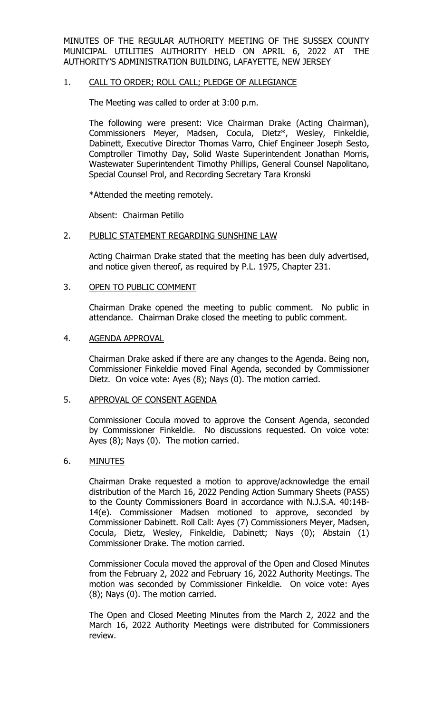MINUTES OF THE REGULAR AUTHORITY MEETING OF THE SUSSEX COUNTY MUNICIPAL UTILITIES AUTHORITY HELD ON APRIL 6, 2022 AT THE AUTHORITY'S ADMINISTRATION BUILDING, LAFAYETTE, NEW JERSEY

## 1. CALL TO ORDER; ROLL CALL; PLEDGE OF ALLEGIANCE

The Meeting was called to order at 3:00 p.m.

The following were present: Vice Chairman Drake (Acting Chairman), Commissioners Meyer, Madsen, Cocula, Dietz\*, Wesley, Finkeldie, Dabinett, Executive Director Thomas Varro, Chief Engineer Joseph Sesto, Comptroller Timothy Day, Solid Waste Superintendent Jonathan Morris, Wastewater Superintendent Timothy Phillips, General Counsel Napolitano, Special Counsel Prol, and Recording Secretary Tara Kronski

\*Attended the meeting remotely.

Absent: Chairman Petillo

### 2. PUBLIC STATEMENT REGARDING SUNSHINE LAW

Acting Chairman Drake stated that the meeting has been duly advertised, and notice given thereof, as required by P.L. 1975, Chapter 231.

### 3. OPEN TO PUBLIC COMMENT

Chairman Drake opened the meeting to public comment. No public in attendance. Chairman Drake closed the meeting to public comment.

#### 4. AGENDA APPROVAL

Chairman Drake asked if there are any changes to the Agenda. Being non, Commissioner Finkeldie moved Final Agenda, seconded by Commissioner Dietz. On voice vote: Ayes (8); Nays (0). The motion carried.

#### 5. APPROVAL OF CONSENT AGENDA

Commissioner Cocula moved to approve the Consent Agenda, seconded by Commissioner Finkeldie. No discussions requested. On voice vote: Ayes (8); Nays (0). The motion carried.

#### 6. MINUTES

Chairman Drake requested a motion to approve/acknowledge the email distribution of the March 16, 2022 Pending Action Summary Sheets (PASS) to the County Commissioners Board in accordance with N.J.S.A. 40:14B-14(e). Commissioner Madsen motioned to approve, seconded by Commissioner Dabinett. Roll Call: Ayes (7) Commissioners Meyer, Madsen, Cocula, Dietz, Wesley, Finkeldie, Dabinett; Nays (0); Abstain (1) Commissioner Drake. The motion carried.

Commissioner Cocula moved the approval of the Open and Closed Minutes from the February 2, 2022 and February 16, 2022 Authority Meetings. The motion was seconded by Commissioner Finkeldie. On voice vote: Ayes (8); Nays (0). The motion carried.

The Open and Closed Meeting Minutes from the March 2, 2022 and the March 16, 2022 Authority Meetings were distributed for Commissioners review.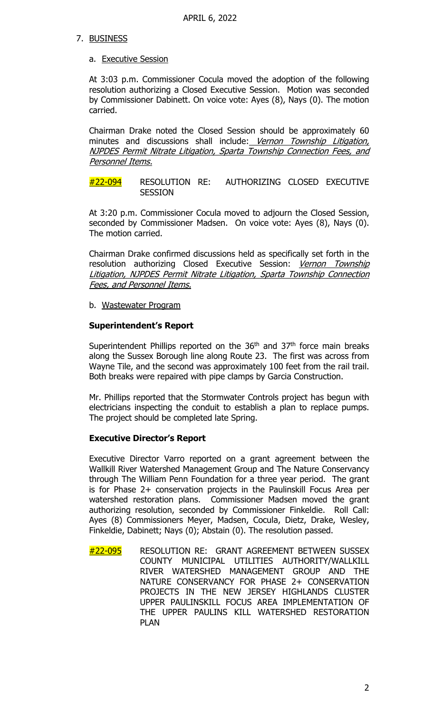# 7. BUSINESS

## a. Executive Session

At 3:03 p.m. Commissioner Cocula moved the adoption of the following resolution authorizing a Closed Executive Session. Motion was seconded by Commissioner Dabinett. On voice vote: Ayes (8), Nays (0). The motion carried.

Chairman Drake noted the Closed Session should be approximately 60 minutes and discussions shall include: Vernon Township Litigation, NJPDES Permit Nitrate Litigation, Sparta Township Connection Fees, and Personnel Items.

#22-094 RESOLUTION RE: AUTHORIZING CLOSED EXECUTIVE **SESSION** 

At 3:20 p.m. Commissioner Cocula moved to adjourn the Closed Session, seconded by Commissioner Madsen. On voice vote: Ayes (8), Nays (0). The motion carried.

Chairman Drake confirmed discussions held as specifically set forth in the resolution authorizing Closed Executive Session: Vernon Township Litigation, NJPDES Permit Nitrate Litigation, Sparta Township Connection Fees, and Personnel Items.

b. Wastewater Program

# **Superintendent's Report**

Superintendent Phillips reported on the  $36<sup>th</sup>$  and  $37<sup>th</sup>$  force main breaks along the Sussex Borough line along Route 23. The first was across from Wayne Tile, and the second was approximately 100 feet from the rail trail. Both breaks were repaired with pipe clamps by Garcia Construction.

Mr. Phillips reported that the Stormwater Controls project has begun with electricians inspecting the conduit to establish a plan to replace pumps. The project should be completed late Spring.

## **Executive Director's Report**

Executive Director Varro reported on a grant agreement between the Wallkill River Watershed Management Group and The Nature Conservancy through The William Penn Foundation for a three year period. The grant is for Phase 2+ conservation projects in the Paulinskill Focus Area per watershed restoration plans. Commissioner Madsen moved the grant authorizing resolution, seconded by Commissioner Finkeldie. Roll Call: Ayes (8) Commissioners Meyer, Madsen, Cocula, Dietz, Drake, Wesley, Finkeldie, Dabinett; Nays (0); Abstain (0). The resolution passed.

#22-095 RESOLUTION RE: GRANT AGREEMENT BETWEEN SUSSEX COUNTY MUNICIPAL UTILITIES AUTHORITY/WALLKILL RIVER WATERSHED MANAGEMENT GROUP AND THE NATURE CONSERVANCY FOR PHASE 2+ CONSERVATION PROJECTS IN THE NEW JERSEY HIGHLANDS CLUSTER UPPER PAULINSKILL FOCUS AREA IMPLEMENTATION OF THE UPPER PAULINS KILL WATERSHED RESTORATION PLAN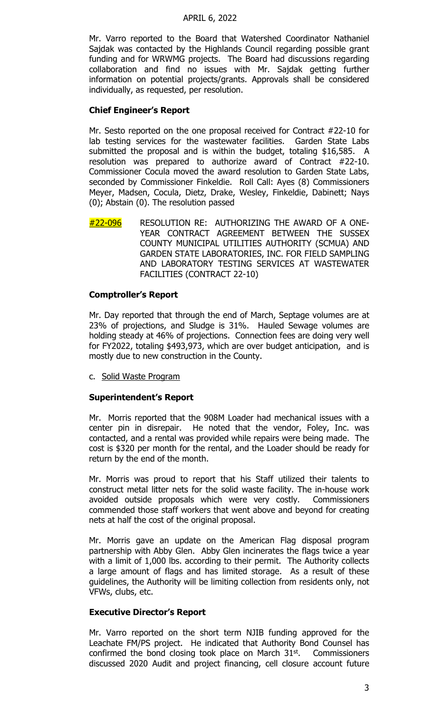### APRIL 6, 2022

Mr. Varro reported to the Board that Watershed Coordinator Nathaniel Sajdak was contacted by the Highlands Council regarding possible grant funding and for WRWMG projects. The Board had discussions regarding collaboration and find no issues with Mr. Sajdak getting further information on potential projects/grants. Approvals shall be considered individually, as requested, per resolution.

# **Chief Engineer's Report**

Mr. Sesto reported on the one proposal received for Contract #22-10 for lab testing services for the wastewater facilities. Garden State Labs submitted the proposal and is within the budget, totaling \$16,585. A resolution was prepared to authorize award of Contract #22-10. Commissioner Cocula moved the award resolution to Garden State Labs, seconded by Commissioner Finkeldie. Roll Call: Ayes (8) Commissioners Meyer, Madsen, Cocula, Dietz, Drake, Wesley, Finkeldie, Dabinett; Nays (0); Abstain (0). The resolution passed

#22-096 RESOLUTION RE: AUTHORIZING THE AWARD OF A ONE-YEAR CONTRACT AGREEMENT BETWEEN THE SUSSEX COUNTY MUNICIPAL UTILITIES AUTHORITY (SCMUA) AND GARDEN STATE LABORATORIES, INC. FOR FIELD SAMPLING AND LABORATORY TESTING SERVICES AT WASTEWATER FACILITIES (CONTRACT 22-10)

# **Comptroller's Report**

Mr. Day reported that through the end of March, Septage volumes are at 23% of projections, and Sludge is 31%. Hauled Sewage volumes are holding steady at 46% of projections. Connection fees are doing very well for FY2022, totaling \$493,973, which are over budget anticipation, and is mostly due to new construction in the County.

c. Solid Waste Program

## **Superintendent's Report**

Mr. Morris reported that the 908M Loader had mechanical issues with a center pin in disrepair. He noted that the vendor, Foley, Inc. was contacted, and a rental was provided while repairs were being made. The cost is \$320 per month for the rental, and the Loader should be ready for return by the end of the month.

Mr. Morris was proud to report that his Staff utilized their talents to construct metal litter nets for the solid waste facility. The in-house work avoided outside proposals which were very costly. Commissioners commended those staff workers that went above and beyond for creating nets at half the cost of the original proposal.

Mr. Morris gave an update on the American Flag disposal program partnership with Abby Glen. Abby Glen incinerates the flags twice a year with a limit of 1,000 lbs. according to their permit. The Authority collects a large amount of flags and has limited storage. As a result of these guidelines, the Authority will be limiting collection from residents only, not VFWs, clubs, etc.

## **Executive Director's Report**

Mr. Varro reported on the short term NJIB funding approved for the Leachate FM/PS project. He indicated that Authority Bond Counsel has confirmed the bond closing took place on March  $31<sup>st</sup>$ . Commissioners discussed 2020 Audit and project financing, cell closure account future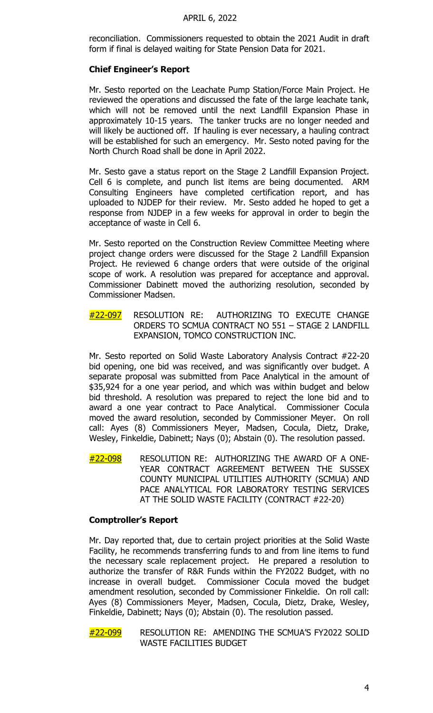reconciliation. Commissioners requested to obtain the 2021 Audit in draft form if final is delayed waiting for State Pension Data for 2021.

### **Chief Engineer's Report**

 Mr. Sesto reported on the Leachate Pump Station/Force Main Project. He reviewed the operations and discussed the fate of the large leachate tank, which will not be removed until the next Landfill Expansion Phase in approximately 10-15 years. The tanker trucks are no longer needed and will likely be auctioned off. If hauling is ever necessary, a hauling contract will be established for such an emergency. Mr. Sesto noted paving for the North Church Road shall be done in April 2022.

Mr. Sesto gave a status report on the Stage 2 Landfill Expansion Project. Cell 6 is complete, and punch list items are being documented. ARM Consulting Engineers have completed certification report, and has uploaded to NJDEP for their review. Mr. Sesto added he hoped to get a response from NJDEP in a few weeks for approval in order to begin the acceptance of waste in Cell 6.

Mr. Sesto reported on the Construction Review Committee Meeting where project change orders were discussed for the Stage 2 Landfill Expansion Project. He reviewed 6 change orders that were outside of the original scope of work. A resolution was prepared for acceptance and approval. Commissioner Dabinett moved the authorizing resolution, seconded by Commissioner Madsen.

#22-097 RESOLUTION RE: AUTHORIZING TO EXECUTE CHANGE ORDERS TO SCMUA CONTRACT NO 551 – STAGE 2 LANDFILL EXPANSION, TOMCO CONSTRUCTION INC.

Mr. Sesto reported on Solid Waste Laboratory Analysis Contract #22-20 bid opening, one bid was received, and was significantly over budget. A separate proposal was submitted from Pace Analytical in the amount of \$35,924 for a one year period, and which was within budget and below bid threshold. A resolution was prepared to reject the lone bid and to award a one year contract to Pace Analytical. Commissioner Cocula moved the award resolution, seconded by Commissioner Meyer. On roll call: Ayes (8) Commissioners Meyer, Madsen, Cocula, Dietz, Drake, Wesley, Finkeldie, Dabinett; Nays (0); Abstain (0). The resolution passed.

 $#22-098$  RESOLUTION RE: AUTHORIZING THE AWARD OF A ONE-YEAR CONTRACT AGREEMENT BETWEEN THE SUSSEX COUNTY MUNICIPAL UTILITIES AUTHORITY (SCMUA) AND PACE ANALYTICAL FOR LABORATORY TESTING SERVICES AT THE SOLID WASTE FACILITY (CONTRACT #22-20)

#### **Comptroller's Report**

Mr. Day reported that, due to certain project priorities at the Solid Waste Facility, he recommends transferring funds to and from line items to fund the necessary scale replacement project. He prepared a resolution to authorize the transfer of R&R Funds within the FY2022 Budget, with no increase in overall budget. Commissioner Cocula moved the budget amendment resolution, seconded by Commissioner Finkeldie. On roll call: Ayes (8) Commissioners Meyer, Madsen, Cocula, Dietz, Drake, Wesley, Finkeldie, Dabinett; Nays (0); Abstain (0). The resolution passed.

#22-099 RESOLUTION RE: AMENDING THE SCMUA'S FY2022 SOLID WASTE FACILITIES BUDGET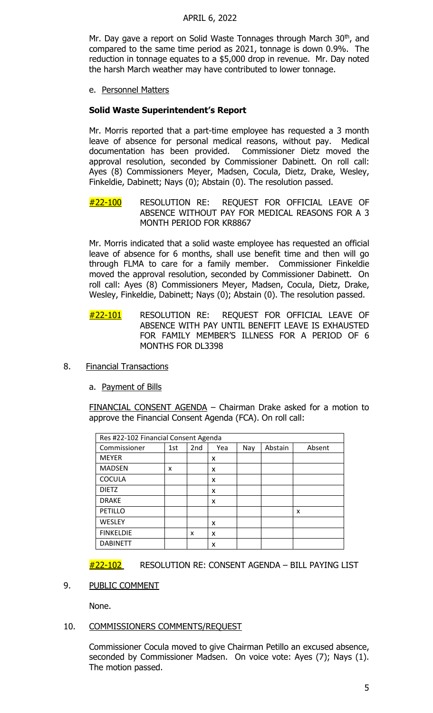### APRIL 6, 2022

Mr. Day gave a report on Solid Waste Tonnages through March 30<sup>th</sup>, and compared to the same time period as 2021, tonnage is down 0.9%. The reduction in tonnage equates to a \$5,000 drop in revenue. Mr. Day noted the harsh March weather may have contributed to lower tonnage.

e. Personnel Matters

# **Solid Waste Superintendent's Report**

Mr. Morris reported that a part-time employee has requested a 3 month leave of absence for personal medical reasons, without pay. Medical documentation has been provided. Commissioner Dietz moved the approval resolution, seconded by Commissioner Dabinett. On roll call: Ayes (8) Commissioners Meyer, Madsen, Cocula, Dietz, Drake, Wesley, Finkeldie, Dabinett; Nays (0); Abstain (0). The resolution passed.

#22-100 RESOLUTION RE: REQUEST FOR OFFICIAL LEAVE OF ABSENCE WITHOUT PAY FOR MEDICAL REASONS FOR A 3 MONTH PERIOD FOR KR8867

Mr. Morris indicated that a solid waste employee has requested an official leave of absence for 6 months, shall use benefit time and then will go through FLMA to care for a family member. Commissioner Finkeldie moved the approval resolution, seconded by Commissioner Dabinett. On roll call: Ayes (8) Commissioners Meyer, Madsen, Cocula, Dietz, Drake, Wesley, Finkeldie, Dabinett; Nays (0); Abstain (0). The resolution passed.

- #22-101 RESOLUTION RE: REQUEST FOR OFFICIAL LEAVE OF ABSENCE WITH PAY UNTIL BENEFIT LEAVE IS EXHAUSTED FOR FAMILY MEMBER'S ILLNESS FOR A PERIOD OF 6 MONTHS FOR DL3398
- 8. Financial Transactions
	- a. Payment of Bills

FINANCIAL CONSENT AGENDA - Chairman Drake asked for a motion to approve the Financial Consent Agenda (FCA). On roll call:

| Res #22-102 Financial Consent Agenda |     |                 |     |     |         |        |
|--------------------------------------|-----|-----------------|-----|-----|---------|--------|
| Commissioner                         | 1st | 2 <sub>nd</sub> | Yea | Nay | Abstain | Absent |
| <b>MEYER</b>                         |     |                 | x   |     |         |        |
| <b>MADSEN</b>                        | x   |                 | x   |     |         |        |
| <b>COCULA</b>                        |     |                 | x   |     |         |        |
| <b>DIETZ</b>                         |     |                 | x   |     |         |        |
| <b>DRAKE</b>                         |     |                 | X   |     |         |        |
| PETILLO                              |     |                 |     |     |         | x      |
| WESLEY                               |     |                 | x   |     |         |        |
| <b>FINKELDIE</b>                     |     | x               | X   |     |         |        |
| <b>DABINETT</b>                      |     |                 | x   |     |         |        |

#22-102 RESOLUTION RE: CONSENT AGENDA - BILL PAYING LIST

9. PUBLIC COMMENT

None.

## 10. COMMISSIONERS COMMENTS/REQUEST

Commissioner Cocula moved to give Chairman Petillo an excused absence, seconded by Commissioner Madsen. On voice vote: Ayes (7); Nays (1). The motion passed.